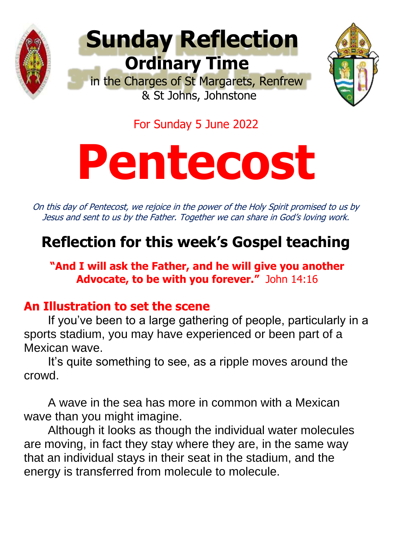



For Sunday 5 June 2022

# **Pentecost**

On this day of Pentecost, we rejoice in the power of the Holy Spirit promised to us by Jesus and sent to us by the Father. Together we can share in God's loving work.

# **Reflection for this week's Gospel teaching**

**"And I will ask the Father, and he will give you another Advocate, to be with you forever."** John 14:16

## **An Illustration to set the scene**

If you've been to a large gathering of people, particularly in a sports stadium, you may have experienced or been part of a Mexican wave.

It's quite something to see, as a ripple moves around the crowd.

A wave in the sea has more in common with a Mexican wave than you might imagine.

Although it looks as though the individual water molecules are moving, in fact they stay where they are, in the same way that an individual stays in their seat in the stadium, and the energy is transferred from molecule to molecule.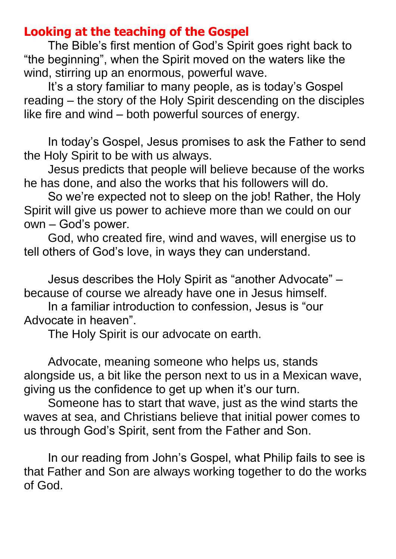### **Looking at the teaching of the Gospel**

The Bible's first mention of God's Spirit goes right back to "the beginning", when the Spirit moved on the waters like the wind, stirring up an enormous, powerful wave.

It's a story familiar to many people, as is today's Gospel reading – the story of the Holy Spirit descending on the disciples like fire and wind – both powerful sources of energy.

In today's Gospel, Jesus promises to ask the Father to send the Holy Spirit to be with us always.

Jesus predicts that people will believe because of the works he has done, and also the works that his followers will do.

So we're expected not to sleep on the job! Rather, the Holy Spirit will give us power to achieve more than we could on our own – God's power.

God, who created fire, wind and waves, will energise us to tell others of God's love, in ways they can understand.

Jesus describes the Holy Spirit as "another Advocate" – because of course we already have one in Jesus himself.

In a familiar introduction to confession, Jesus is "our Advocate in heaven".

The Holy Spirit is our advocate on earth.

Advocate, meaning someone who helps us, stands alongside us, a bit like the person next to us in a Mexican wave, giving us the confidence to get up when it's our turn.

Someone has to start that wave, just as the wind starts the waves at sea, and Christians believe that initial power comes to us through God's Spirit, sent from the Father and Son.

In our reading from John's Gospel, what Philip fails to see is that Father and Son are always working together to do the works of God.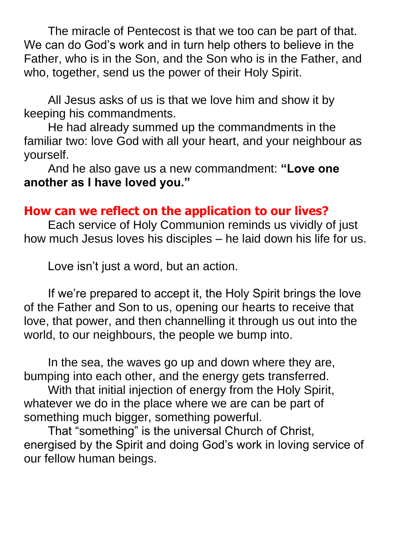The miracle of Pentecost is that we too can be part of that. We can do God's work and in turn help others to believe in the Father, who is in the Son, and the Son who is in the Father, and who, together, send us the power of their Holy Spirit.

All Jesus asks of us is that we love him and show it by keeping his commandments.

He had already summed up the commandments in the familiar two: love God with all your heart, and your neighbour as yourself.

And he also gave us a new commandment: **"Love one another as I have loved you."**

### **How can we reflect on the application to our lives?**

Each service of Holy Communion reminds us vividly of just how much Jesus loves his disciples – he laid down his life for us.

Love isn't just a word, but an action.

If we're prepared to accept it, the Holy Spirit brings the love of the Father and Son to us, opening our hearts to receive that love, that power, and then channelling it through us out into the world, to our neighbours, the people we bump into.

In the sea, the waves go up and down where they are, bumping into each other, and the energy gets transferred.

With that initial injection of energy from the Holy Spirit, whatever we do in the place where we are can be part of something much bigger, something powerful.

That "something" is the universal Church of Christ, energised by the Spirit and doing God's work in loving service of our fellow human beings.